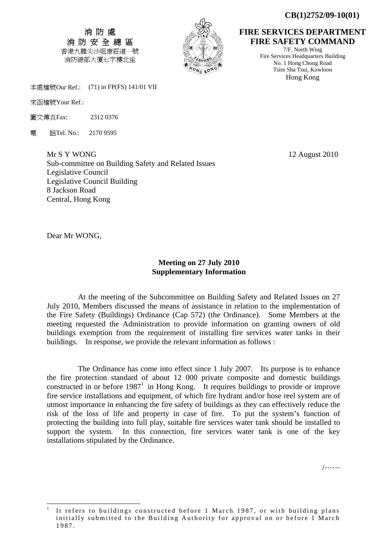**CB(1)2752/09-10(01)** 

消 防 處 消 防 安 全 總 區 香港九龍尖沙咀康莊道一號 消防總部大廈七字樓北座



**FIRE SERVICES DEPARTMENT FIRE SAFETY COMMAND** 

7/F, North Wing Fire Services Headquarters Building No. 1 Hong Chong Road Tsim Sha Tsui, Kowloon Hong Kong

本處檔號Our Ref.: (71) in FP(FS) 141/01 VII

來函檔號Your Ref.:

圖文傳真Fax: 2312 0376

電 話Tel. No.: 2170 9595

Mr S Y WONG 12 August 2010 Sub-committee on Building Safety and Related Issues Legislative Council Legislative Council Building 8 Jackson Road Central, Hong Kong

Dear Mr WONG,

-

## **Meeting on 27 July 2010 Supplementary Information**

 At the meeting of the Subcommittee on Building Safety and Related Issues on 27 July 2010, Members discussed the means of assistance in relation to the implementation of the Fire Safety (Buildings) Ordinance (Cap 572) (the Ordinance). Some Members at the meeting requested the Administration to provide information on granting owners of old buildings exemption from the requirement of installing fire services water tanks in their buildings. In response, we provide the relevant information as follows :

 The Ordinance has come into effect since 1 July 2007. Its purpose is to enhance the fire protection standard of about 12 000 private composite and domestic buildings constructed in or before  $1987<sup>1</sup>$  in Hong Kong. It requires buildings to provide or improve fire service installations and equipment, of which fire hydrant and/or hose reel system are of utmost importance in enhancing the fire safety of buildings as they can effectively reduce the risk of the loss of life and property in case of fire. To put the system's function of protecting the building into full play, suitable fire services water tank should be installed to support the system. In this connection, fire services water tank is one of the key installations stipulated by the Ordinance.

/……

<sup>1</sup> It refers to buildings constructed before 1 March 1987, or with building plans initially submitted to the Building Authority for approval on or before 1 March 1987.